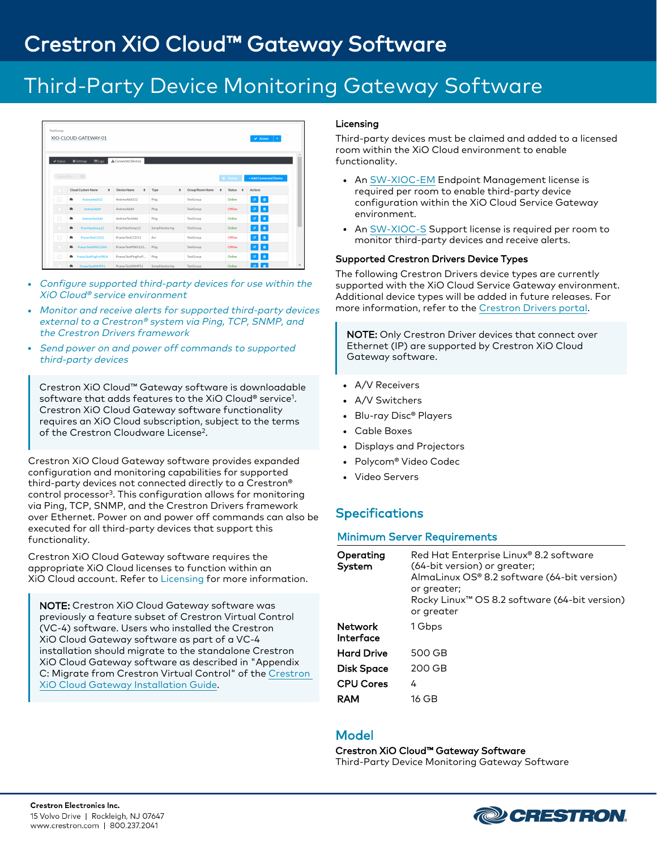# Third-Party Device Monitoring Gateway Software

| TestGroup            | XIO-CLOUD-GATEWAY-01                            |                     |                |                 |   |                 | $\vee$ Action                    | $\sim$                 |
|----------------------|-------------------------------------------------|---------------------|----------------|-----------------|---|-----------------|----------------------------------|------------------------|
| $\checkmark$ Status  | <b>ELogs</b><br><b><math>\$</math></b> Settines | & Connected Devices |                |                 |   |                 |                                  |                        |
| Global filter        | Q                                               |                     |                |                 |   | <b>B</b> Delete |                                  | + Add Connected Device |
|                      | Cloud Custom Name<br>٠                          | Device Name<br>٠    | ٠<br>Type      | Group/Room Name | ٠ | <b>Status</b>   | ٠<br>Actions                     |                        |
| $\qquad \qquad \Box$ | AndrewAdd312<br>٠                               | AndrewAdd312        | Ping           | TestGroup       |   | Online          | $\bullet$<br>$\overline{\alpha}$ |                        |
| □                    | ٠<br>AndrewAdd4                                 | AndrewAdd4          | Ping           | TestGroup       |   | Offline         | <b>O</b><br>-63                  |                        |
| $\Box$               | ٠<br>AndrewTestAdd                              | AndrewTestAdd       | Ping           | TestGroup       |   | Online          | n                                |                        |
| o                    | $\bullet$<br>PranVtestSnmp12                    | PranVtestSnmp12     | SnmpMonitoring | TestGroup       |   | Online          | $\blacksquare$<br>$\alpha$       |                        |
| $\Box$               | ٠<br>PranavTestCCD12                            | PranayTestCCD12     | Avr            | TestGroup       |   | Offline         | n                                |                        |
| o                    | PranavTestPING12345<br>٠                        | PranavTestPING123   | Ping           | TestGroup       |   | Offline         | <b>D</b><br>$\overline{\alpha}$  |                        |
| $\Box$               | PranavTestPingForPRO4<br>٠                      | PranavTestPingForP  | Ping           | TestGroup       |   | Online          | Û                                |                        |
|                      | PranavTestSNMP51                                | PranavTestSNMP51    | SnmpMonitoring | TestGroup       |   | Online          | $\overline{z}$                   |                        |

- Configure supported third-party devices for use within the XiO Cloud® service environment
- Monitor and receive alerts for supported third-party devices external to <sup>a</sup> Crestron® system via Ping, TCP, SNMP, and the Crestron Drivers framework
- Send power on and power off commands to supported third-party devices

Crestron XiO Cloud™ Gateway software is downloadable software that adds features to the XiO Cloud® service<sup>1</sup> . Crestron XiO Cloud Gateway software functionality requires an XiO Cloud subscription, subject to the terms of the Crestron Cloudware License<sup>2</sup>.

Crestron XiO Cloud Gateway software provides expanded configuration and monitoring capabilities for supported third-party devices not connected directly to a Crestron® control processor<sup>3</sup> . This configuration allows for monitoring via Ping, TCP, SNMP, and the Crestron Drivers framework over Ethernet. Power on and power off commands can also be executed for all third-party devices that support this functionality.

Crestron XiO Cloud Gateway software requires the appropriate XiO Cloud licenses to function within an XiO Cloud account. Refer to [Licensing](#page-0-0) for more information.

NOTE: Crestron XiO Cloud Gateway software was previously a feature subset of Crestron Virtual Control (VC-4) software. Users who installed the Crestron XiO Cloud Gateway software as part of a VC-4 installation should migrate to the standalone Crestron XiO Cloud Gateway software as described in "Appendix C: Migrate from Crestron Virtual Control" of the [Crestron](https://www.crestron.com/support/search-results?c=6&m=10&q=crestron%20xio%20cloud%20gateway) XiO Cloud Gateway [Installation](https://www.crestron.com/support/search-results?c=6&m=10&q=crestron%20xio%20cloud%20gateway) Guide.

### <span id="page-0-0"></span>Licensing

Third-party devices must be claimed and added to a licensed room within the XiO Cloud environment to enable functionality.

- An [SW-XIOC-EM](https://www.crestron.com/Products/Control-Hardware-Software/Software/XiO-Cloud/SW-XIOC-EM) Endpoint Management license is required per room to enable third-party device configuration within the XiO Cloud Service Gateway environment.
- An [SW-XIOC-S](https://www.crestron.com/Products/Control-Hardware-Software/Software/XiO-Cloud/SW-XIOC-S) Support license is required per room to monitor third-party devices and receive alerts.

#### Supported Crestron Drivers Device Types

The following Crestron Drivers device types are currently supported with the XiO Cloud Service Gateway environment. Additional device types will be added in future releases. For more information, refer to the [Crestron](https://drivers.crestron.io/) Drivers portal.

NOTE: Only Crestron Driver devices that connect over Ethernet (IP) are supported by Crestron XiO Cloud Gateway software.

- A/V Receivers
- A/V Switchers
- Blu-ray Disc® Players
- Cable Boxes
- Displays and Projectors
- <sup>l</sup> Polycom® Video Codec
- Video Servers

### **Specifications**

### Minimum Server Requirements

| Operating<br>System  | Red Hat Enterprise Linux® 8.2 software<br>(64-bit version) or greater;<br>AlmaLinux OS® 8.2 software (64-bit version)<br>or greater;<br>Rocky Linux <sup>™</sup> OS 8.2 software (64-bit version)<br>or greater |
|----------------------|-----------------------------------------------------------------------------------------------------------------------------------------------------------------------------------------------------------------|
| Network<br>Interface | 1 Gbps                                                                                                                                                                                                          |
| <b>Hard Drive</b>    | 500 GB                                                                                                                                                                                                          |
| <b>Disk Space</b>    | 200 GB                                                                                                                                                                                                          |
| <b>CPU Cores</b>     | 4                                                                                                                                                                                                               |
| RAM                  | 16 GB                                                                                                                                                                                                           |

### Model

#### Crestron XiO Cloud™ Gateway Software

Third-Party Device Monitoring Gateway Software